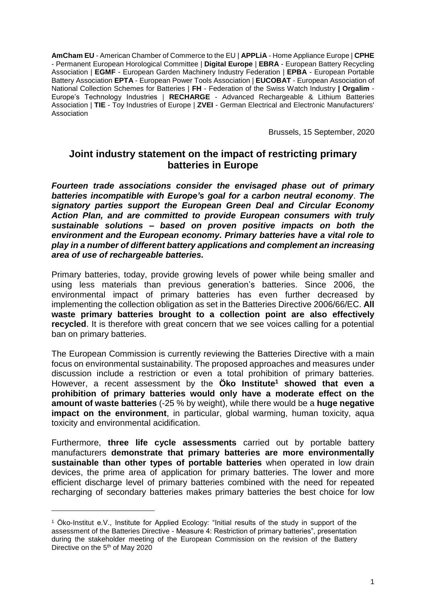**AmCham EU** - American Chamber of Commerce to the EU | **APPLiA** - Home Appliance Europe | **CPHE** - Permanent European Horological Committee | **Digital Europe** | **EBRA** - European Battery Recycling Association | **EGMF** - European Garden Machinery Industry Federation | **EPBA** - European Portable Battery Association **EPTA** - European Power Tools Association | **EUCOBAT** - European Association of National Collection Schemes for Batteries | **FH** - Federation of the Swiss Watch Industry **| Orgalim** - Europe's Technology Industries | **RECHARGE** - Advanced Rechargeable & Lithium Batteries Association | **TIE** - Toy Industries of Europe | **ZVEI** - German Electrical and Electronic Manufacturers' Association

Brussels, 15 September, 2020

# **Joint industry statement on the impact of restricting primary batteries in Europe**

*Fourteen trade associations consider the envisaged phase out of primary batteries incompatible with Europe's goal for a carbon neutral economy*. *The signatory parties support the European Green Deal and Circular Economy Action Plan, and are committed to provide European consumers with truly sustainable solutions – based on proven positive impacts on both the environment and the European economy. Primary batteries have a vital role to play in a number of different battery applications and complement an increasing area of use of rechargeable batteries.* 

Primary batteries, today, provide growing levels of power while being smaller and using less materials than previous generation's batteries. Since 2006, the environmental impact of primary batteries has even further decreased by implementing the collection obligation as set in the Batteries Directive 2006/66/EC. **All waste primary batteries brought to a collection point are also effectively recycled**. It is therefore with great concern that we see voices calling for a potential ban on primary batteries.

The European Commission is currently reviewing the Batteries Directive with a main focus on environmental sustainability. The proposed approaches and measures under discussion include a restriction or even a total prohibition of primary batteries. However, a recent assessment by the **Öko Institute<sup>1</sup> showed that even a prohibition of primary batteries would only have a moderate effect on the amount of waste batteries** (-25 % by weight), while there would be a **huge negative impact on the environment**, in particular, global warming, human toxicity, aqua toxicity and environmental acidification.

Furthermore, **three life cycle assessments** carried out by portable battery manufacturers **demonstrate that primary batteries are more environmentally sustainable than other types of portable batteries** when operated in low drain devices, the prime area of application for primary batteries. The lower and more efficient discharge level of primary batteries combined with the need for repeated recharging of secondary batteries makes primary batteries the best choice for low

<u>.</u>

<sup>1</sup> Öko-Institut e.V., Institute for Applied Ecology: "Initial results of the study in support of the assessment of the Batteries Directive - Measure 4: Restriction of primary batteries", presentation during the stakeholder meeting of the European Commission on the revision of the Battery Directive on the 5th of May 2020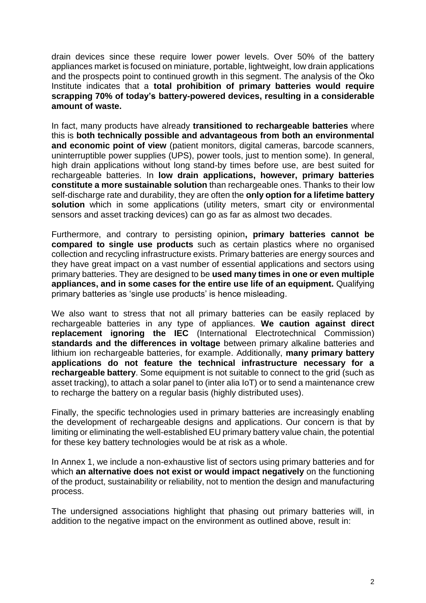drain devices since these require lower power levels. Over 50% of the battery appliances market is focused on miniature, portable, lightweight, low drain applications and the prospects point to continued growth in this segment. The analysis of the Öko Institute indicates that a **total prohibition of primary batteries would require scrapping 70% of today's battery-powered devices, resulting in a considerable amount of waste.**

In fact, many products have already **transitioned to rechargeable batteries** where this is **both technically possible and advantageous from both an environmental and economic point of view** (patient monitors, digital cameras, barcode scanners, uninterruptible power supplies (UPS), power tools, just to mention some). In general, high drain applications without long stand-by times before use, are best suited for rechargeable batteries. In **low drain applications, however, primary batteries constitute a more sustainable solution** than rechargeable ones. Thanks to their low self-discharge rate and durability, they are often the **only option for a lifetime battery solution** which in some applications (utility meters, smart city or environmental sensors and asset tracking devices) can go as far as almost two decades.

Furthermore, and contrary to persisting opinion**, primary batteries cannot be compared to single use products** such as certain plastics where no organised collection and recycling infrastructure exists. Primary batteries are energy sources and they have great impact on a vast number of essential applications and sectors using primary batteries. They are designed to be **used many times in one or even multiple appliances, and in some cases for the entire use life of an equipment.** Qualifying primary batteries as 'single use products' is hence misleading.

We also want to stress that not all primary batteries can be easily replaced by rechargeable batteries in any type of appliances. **We caution against direct replacement ignoring the IEC** (International Electrotechnical Commission) **standards and the differences in voltage** between primary alkaline batteries and lithium ion rechargeable batteries, for example. Additionally, **many primary battery applications do not feature the technical infrastructure necessary for a rechargeable battery**. Some equipment is not suitable to connect to the grid (such as asset tracking), to attach a solar panel to (inter alia IoT) or to send a maintenance crew to recharge the battery on a regular basis (highly distributed uses).

Finally, the specific technologies used in primary batteries are increasingly enabling the development of rechargeable designs and applications. Our concern is that by limiting or eliminating the well-established EU primary battery value chain, the potential for these key battery technologies would be at risk as a whole.

In Annex 1, we include a non-exhaustive list of sectors using primary batteries and for which **an alternative does not exist or would impact negatively** on the functioning of the product, sustainability or reliability, not to mention the design and manufacturing process.

The undersigned associations highlight that phasing out primary batteries will, in addition to the negative impact on the environment as outlined above, result in: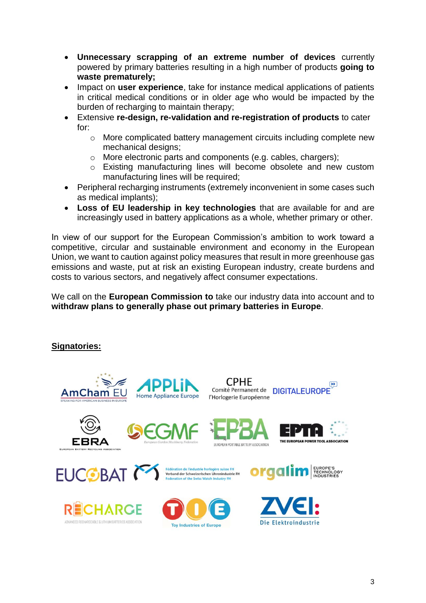- **Unnecessary scrapping of an extreme number of devices** currently powered by primary batteries resulting in a high number of products **going to waste prematurely;**
- Impact on **user experience**, take for instance medical applications of patients in critical medical conditions or in older age who would be impacted by the burden of recharging to maintain therapy;
- Extensive **re-design, re-validation and re-registration of products** to cater for:
	- o More complicated battery management circuits including complete new mechanical designs;
	- o More electronic parts and components (e.g. cables, chargers);
	- o Existing manufacturing lines will become obsolete and new custom manufacturing lines will be required;
- Peripheral recharging instruments (extremely inconvenient in some cases such as medical implants);
- **Loss of EU leadership in key technologies** that are available for and are increasingly used in battery applications as a whole, whether primary or other.

In view of our support for the European Commission's ambition to work toward a competitive, circular and sustainable environment and economy in the European Union, we want to caution against policy measures that result in more greenhouse gas emissions and waste, put at risk an existing European industry, create burdens and costs to various sectors, and negatively affect consumer expectations.

We call on the **European Commission to** take our industry data into account and to **withdraw plans to generally phase out primary batteries in Europe**.

## **Signatories:**

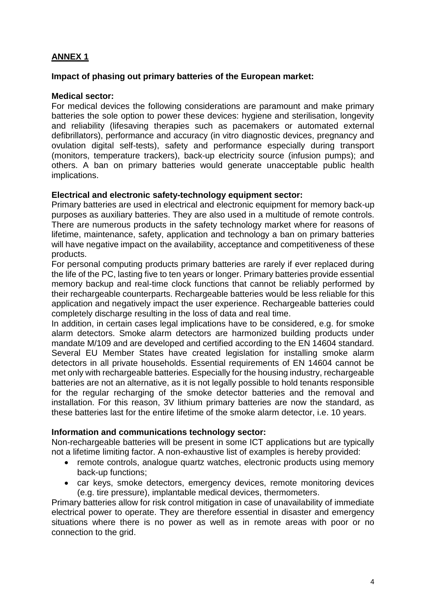# **ANNEX 1**

## **Impact of phasing out primary batteries of the European market:**

## **Medical sector:**

For medical devices the following considerations are paramount and make primary batteries the sole option to power these devices: hygiene and sterilisation, longevity and reliability (lifesaving therapies such as pacemakers or automated external defibrillators), performance and accuracy (in vitro diagnostic devices, pregnancy and ovulation digital self-tests), safety and performance especially during transport (monitors, temperature trackers), back-up electricity source (infusion pumps); and others. A ban on primary batteries would generate unacceptable public health implications.

### **Electrical and electronic safety-technology equipment sector:**

Primary batteries are used in electrical and electronic equipment for memory back-up purposes as auxiliary batteries. They are also used in a multitude of remote controls. There are numerous products in the safety technology market where for reasons of lifetime, maintenance, safety, application and technology a ban on primary batteries will have negative impact on the availability, acceptance and competitiveness of these products.

For personal computing products primary batteries are rarely if ever replaced during the life of the PC, lasting five to ten years or longer. Primary batteries provide essential memory backup and real-time clock functions that cannot be reliably performed by their rechargeable counterparts. Rechargeable batteries would be less reliable for this application and negatively impact the user experience. Rechargeable batteries could completely discharge resulting in the loss of data and real time.

In addition, in certain cases legal implications have to be considered, e.g. for smoke alarm detectors. Smoke alarm detectors are harmonized building products under mandate M/109 and are developed and certified according to the EN 14604 standard. Several EU Member States have created legislation for installing smoke alarm detectors in all private households. Essential requirements of EN 14604 cannot be met only with rechargeable batteries. Especially for the housing industry, rechargeable batteries are not an alternative, as it is not legally possible to hold tenants responsible for the regular recharging of the smoke detector batteries and the removal and installation. For this reason, 3V lithium primary batteries are now the standard, as these batteries last for the entire lifetime of the smoke alarm detector, i.e. 10 years.

### **Information and communications technology sector:**

Non-rechargeable batteries will be present in some ICT applications but are typically not a lifetime limiting factor. A non-exhaustive list of examples is hereby provided:

- remote controls, analogue quartz watches, electronic products using memory back-up functions;
- car keys, smoke detectors, emergency devices, remote monitoring devices (e.g. tire pressure), implantable medical devices, thermometers.

Primary batteries allow for risk control mitigation in case of unavailability of immediate electrical power to operate. They are therefore essential in disaster and emergency situations where there is no power as well as in remote areas with poor or no connection to the grid.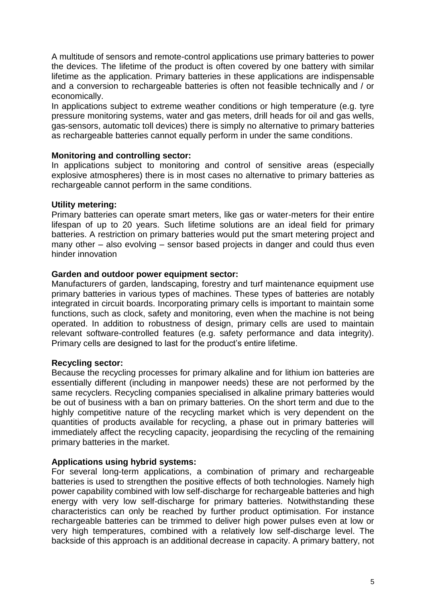A multitude of sensors and remote-control applications use primary batteries to power the devices. The lifetime of the product is often covered by one battery with similar lifetime as the application. Primary batteries in these applications are indispensable and a conversion to rechargeable batteries is often not feasible technically and / or economically.

In applications subject to extreme weather conditions or high temperature (e.g. tyre pressure monitoring systems, water and gas meters, drill heads for oil and gas wells, gas-sensors, automatic toll devices) there is simply no alternative to primary batteries as rechargeable batteries cannot equally perform in under the same conditions.

### **Monitoring and controlling sector:**

In applications subject to monitoring and control of sensitive areas (especially explosive atmospheres) there is in most cases no alternative to primary batteries as rechargeable cannot perform in the same conditions.

#### **Utility metering:**

Primary batteries can operate smart meters, like gas or water-meters for their entire lifespan of up to 20 years. Such lifetime solutions are an ideal field for primary batteries. A restriction on primary batteries would put the smart metering project and many other – also evolving – sensor based projects in danger and could thus even hinder innovation

#### **Garden and outdoor power equipment sector:**

Manufacturers of garden, landscaping, forestry and turf maintenance equipment use primary batteries in various types of machines. These types of batteries are notably integrated in circuit boards. Incorporating primary cells is important to maintain some functions, such as clock, safety and monitoring, even when the machine is not being operated. In addition to robustness of design, primary cells are used to maintain relevant software-controlled features (e.g. safety performance and data integrity). Primary cells are designed to last for the product's entire lifetime.

### **Recycling sector:**

Because the recycling processes for primary alkaline and for lithium ion batteries are essentially different (including in manpower needs) these are not performed by the same recyclers. Recycling companies specialised in alkaline primary batteries would be out of business with a ban on primary batteries. On the short term and due to the highly competitive nature of the recycling market which is very dependent on the quantities of products available for recycling, a phase out in primary batteries will immediately affect the recycling capacity, jeopardising the recycling of the remaining primary batteries in the market.

### **Applications using hybrid systems:**

For several long-term applications, a combination of primary and rechargeable batteries is used to strengthen the positive effects of both technologies. Namely high power capability combined with low self-discharge for rechargeable batteries and high energy with very low self-discharge for primary batteries. Notwithstanding these characteristics can only be reached by further product optimisation. For instance rechargeable batteries can be trimmed to deliver high power pulses even at low or very high temperatures, combined with a relatively low self-discharge level. The backside of this approach is an additional decrease in capacity. A primary battery, not